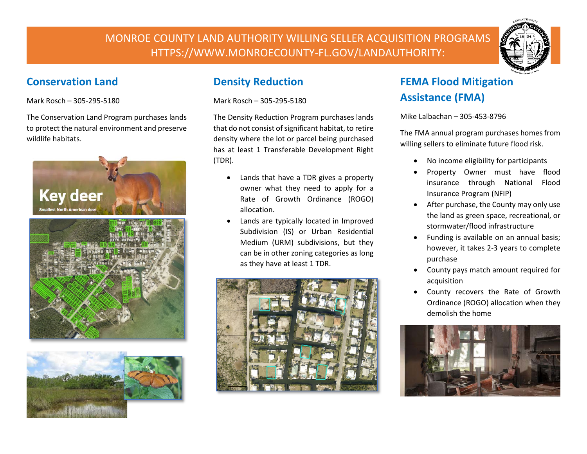MONROE COUNTY LAND AUTHORITY WILLING SELLER ACQUISITION PROGRAMS HTTPS://WWW.MONROECOUNTY-FL.GOV/LANDAUTHORITY:



### **Conservation Land**

Mark Rosch – 305-295-5180

The Conservation Land Program purchases lands to protect the natural environment and preserve wildlife habitats.





## **Density Reduction**

Mark Rosch – 305-295-5180

The Density Reduction Program purchases lands that do not consist of significant habitat, to retire density where the lot or parcel being purchased has at least 1 Transferable Development Right (TDR).

- Lands that have a TDR gives a property owner what they need to apply for a Rate of Growth Ordinance (ROGO) allocation.
- Lands are typically located in Improved Subdivision (IS) or Urban Residential Medium (URM) subdivisions, but they can be in other zoning categories as long as they have at least 1 TDR.



# **FEMA Flood Mitigation Assistance (FMA)**

Mike Lalbachan – 305-453-8796

The FMA annual program purchases homes from willing sellers to eliminate future flood risk.

- No income eligibility for participants
- Property Owner must have flood insurance through National Flood Insurance Program (NFIP)
- After purchase, the County may only use the land as green space, recreational, or stormwater/flood infrastructure
- Funding is available on an annual basis; however, it takes 2-3 years to complete purchase
- County pays match amount required for acquisition
- County recovers the Rate of Growth Ordinance (ROGO) allocation when they demolish the home